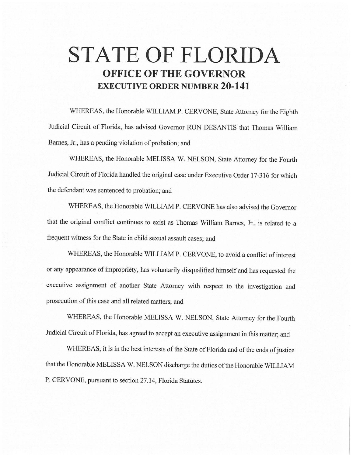# **STATE OF FLORIDA OFFICE OF THE GOVERNOR EXECUTIVE ORDER NUMBER 20-141**

WHEREAS, the Honorable WILLIAM P. CERVONE, State Attorney for the Eighth Judicial Circuit of Florida, has advised Governor RON DESANTIS that Thomas William Barnes, Jr., has a pending violation of probation; and

WHEREAS, the Honorable MELISSA W. NELSON, State Attorney for the Fourth Judicial Circuit of Florida handled the original case under Executive Order 17-316 for which the defendant was sentenced to probation; and

WHEREAS, the Honorable WILLIAM P. CERVONE has also advised the Governor that the original conflict continues to exist as Thomas William Barnes, Jr., is related to a frequent witness for the State in child sexual assault cases; and

WHEREAS, the Honorable WILLIAM P. CERVONE, to avoid a conflict of interest or any appearance of impropriety, has voluntarily disqualified himself and has requested the executive assignment of another State Attorney with respect to the investigation and prosecution of this case and all related matters; and

WHEREAS, the Honorable MELISSA W. NELSON, State Attorney for the Fourth Judicial Circuit of Florida, has agreed to accept an executive assignment in this matter; and

WHEREAS, it is in the best interests of the State of Florida and of the ends of justice that the Honorable MELISSA W. NELSON discharge the duties of the Honorable WILLIAM P. CERVONE, pursuant to section 27.14, Florida Statutes.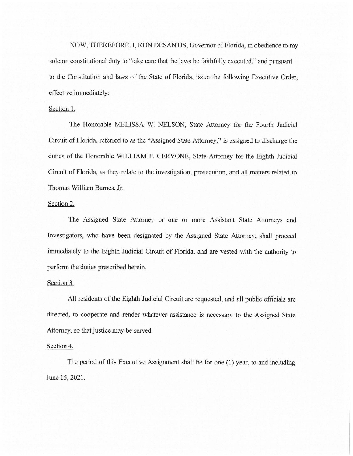NOW, THEREFORE, I, RON DESANTIS, Governor of Florida, in obedience to my solemn constitutional duty to "take care that the laws be faithfully executed," and pursuant to the Constitution and laws of the State of Florida, issue the following Executive Order, effective immediately:

## Section 1.

The Honorable MELISSA W. NELSON, State Attorney for the Fourth Judicial Circuit of Florida, referred to as the "Assigned State Attorney," is assigned to discharge the duties of the Honorable WILLIAM P. CERVONE, State Attorney for the Eighth Judicial Circuit of Florida, as they relate to the investigation, prosecution, and all matters related to Thomas William Barnes, Jr.

### Section 2.

The Assigned State Attorney or one or more Assistant State Attorneys and Investigators, who have been designated by the Assigned State Attorney, shall proceed immediately to the Eighth Judicial Circuit of Florida, and are vested with the authority to perform the duties prescribed herein.

#### Section 3.

All residents of the Eighth Judicial Circuit are requested, and all public officials are directed, to cooperate and render whatever assistance is necessary to the Assigned State Attorney, so that justice may be served.

#### Section 4.

The period of this Executive Assignment shall be for one (1) year, to and including June 15, 2021.